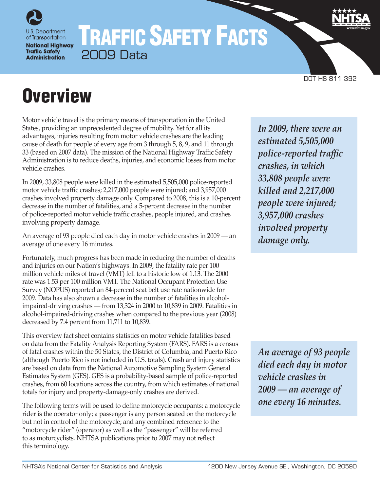

# TRAFFIC SAFETY FACTS 2009 Data

DOT HS 811 392

# **Overview**

Motor vehicle travel is the primary means of transportation in the United States, providing an unprecedented degree of mobility. Yet for all its advantages, injuries resulting from motor vehicle crashes are the leading cause of death for people of every age from 3 through 5, 8, 9, and 11 through 33 (based on 2007 data). The mission of the National Highway Traffic Safety Administration is to reduce deaths, injuries, and economic losses from motor vehicle crashes.

In 2009, 33,808 people were killed in the estimated 5,505,000 police-reported motor vehicle traffic crashes; 2,217,000 people were injured; and 3,957,000 crashes involved property damage only. Compared to 2008, this is a 10-percent decrease in the number of fatalities, and a 5-percent decrease in the number of police-reported motor vehicle traffic crashes, people injured, and crashes involving property damage.

An average of 93 people died each day in motor vehicle crashes in 2009 — an average of one every 16 minutes.

Fortunately, much progress has been made in reducing the number of deaths and injuries on our Nation's highways. In 2009, the fatality rate per 100 million vehicle miles of travel (VMT) fell to a historic low of 1.13. The 2000 rate was 1.53 per 100 million VMT. The National Occupant Protection Use Survey (NOPUS) reported an 84-percent seat belt use rate nationwide for 2009. Data has also shown a decrease in the number of fatalities in alcoholimpaired-driving crashes — from 13,324 in 2000 to 10,839 in 2009. Fatalities in alcohol-impaired-driving crashes when compared to the previous year (2008) decreased by 7.4 percent from 11,711 to 10,839.

This overview fact sheet contains statistics on motor vehicle fatalities based on data from the Fatality Analysis Reporting System (FARS). FARS is a census of fatal crashes within the 50 States, the District of Columbia, and Puerto Rico (although Puerto Rico is not included in U.S. totals). Crash and injury statistics are based on data from the National Automotive Sampling System General Estimates System (GES). GES is a probability-based sample of police-reported crashes, from 60 locations across the country, from which estimates of national totals for injury and property-damage-only crashes are derived.

The following terms will be used to define motorcycle occupants: a motorcycle rider is the operator only; a passenger is any person seated on the motorcycle but not in control of the motorcycle; and any combined reference to the "motorcycle rider" (operator) as well as the "passenger" will be referred to as motorcyclists. NHTSA publications prior to 2007 may not reflect this terminology.

*In 2009, there were an estimated 5,505,000 police-reported traffic crashes, in which 33,808 people were killed and 2,217,000 people were injured; 3,957,000 crashes involved property damage only.*

*An average of 93 people died each day in motor vehicle crashes in 2009 — an average of one every 16 minutes.*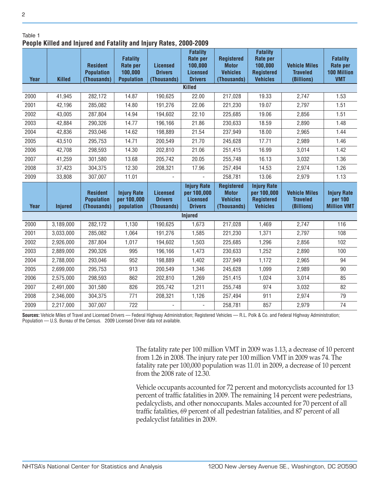| lable |  |
|-------|--|

2

## **People Killed and Injured and Fatality and Injury Rates, 2000-2009**

| i copic Kincu anu mjurcu anu i atanty anu mjury natos, 2000 2003 |                |                                                     |                                                                    |                                                  |                                                                             |                                                                     |                                                                                |                                                       |                                                                 |
|------------------------------------------------------------------|----------------|-----------------------------------------------------|--------------------------------------------------------------------|--------------------------------------------------|-----------------------------------------------------------------------------|---------------------------------------------------------------------|--------------------------------------------------------------------------------|-------------------------------------------------------|-----------------------------------------------------------------|
| Year                                                             | <b>Killed</b>  | <b>Resident</b><br><b>Population</b><br>(Thousands) | <b>Fatality</b><br><b>Rate per</b><br>100,000<br><b>Population</b> | <b>Licensed</b><br><b>Drivers</b><br>(Thousands) | <b>Fatality</b><br>Rate per<br>100,000<br><b>Licensed</b><br><b>Drivers</b> | <b>Registered</b><br><b>Motor</b><br><b>Vehicles</b><br>(Thousands) | <b>Fatality</b><br>Rate per<br>100,000<br><b>Registered</b><br><b>Vehicles</b> | <b>Vehicle Miles</b><br><b>Traveled</b><br>(Billions) | <b>Fatality</b><br>Rate per<br><b>100 Million</b><br><b>VMT</b> |
| <b>Killed</b>                                                    |                |                                                     |                                                                    |                                                  |                                                                             |                                                                     |                                                                                |                                                       |                                                                 |
| 2000                                                             | 41,945         | 282,172                                             | 14.87                                                              | 190,625                                          | 22.00                                                                       | 217,028                                                             | 19.33                                                                          | 2,747                                                 | 1.53                                                            |
| 2001                                                             | 42,196         | 285,082                                             | 14.80                                                              | 191,276                                          | 22.06                                                                       | 221,230                                                             | 19.07                                                                          | 2,797                                                 | 1.51                                                            |
| 2002                                                             | 43,005         | 287,804                                             | 14.94                                                              | 194,602                                          | 22.10                                                                       | 225,685                                                             | 19.06                                                                          | 2,856                                                 | 1.51                                                            |
| 2003                                                             | 42,884         | 290,326                                             | 14.77                                                              | 196,166                                          | 21.86                                                                       | 230,633                                                             | 18.59                                                                          | 2,890                                                 | 1.48                                                            |
| 2004                                                             | 42,836         | 293,046                                             | 14.62                                                              | 198,889                                          | 21.54                                                                       | 237,949                                                             | 18.00                                                                          | 2,965                                                 | 1.44                                                            |
| 2005                                                             | 43,510         | 295,753                                             | 14.71                                                              | 200,549                                          | 21.70                                                                       | 245,628                                                             | 17.71                                                                          | 2,989                                                 | 1.46                                                            |
| 2006                                                             | 42,708         | 298,593                                             | 14.30                                                              | 202,810                                          | 21.06                                                                       | 251,415                                                             | 16.99                                                                          | 3,014                                                 | 1.42                                                            |
| 2007                                                             | 41,259         | 301,580                                             | 13.68                                                              | 205,742                                          | 20.05                                                                       | 255,748                                                             | 16.13                                                                          | 3,032                                                 | 1.36                                                            |
| 2008                                                             | 37,423         | 304,375                                             | 12.30                                                              | 208,321                                          | 17.96                                                                       | 257,494                                                             | 14.53                                                                          | 2,974                                                 | 1.26                                                            |
| 2009                                                             | 33,808         | 307,007                                             | 11.01                                                              |                                                  |                                                                             | 258,781                                                             | 13.06                                                                          | 2,979                                                 | 1.13                                                            |
| Year                                                             | <b>Injured</b> | <b>Resident</b><br><b>Population</b><br>(Thousands) | <b>Injury Rate</b><br>per 100,000<br>population                    | <b>Licensed</b><br><b>Drivers</b><br>(Thousands) | <b>Injury Rate</b><br>per 100,000<br><b>Licensed</b><br><b>Drivers</b>      | <b>Registered</b><br><b>Motor</b><br><b>Vehicles</b><br>(Thousands) | <b>Injury Rate</b><br>per 100,000<br><b>Registered</b><br><b>Vehicles</b>      | <b>Vehicle Miles</b><br><b>Traveled</b><br>(Billions) | <b>Injury Rate</b><br>per 100<br><b>Million VMT</b>             |
|                                                                  |                |                                                     |                                                                    |                                                  | <b>Injured</b>                                                              |                                                                     |                                                                                |                                                       |                                                                 |
| 2000                                                             | 3,189,000      | 282,172                                             | 1,130                                                              | 190,625                                          | 1,673                                                                       | 217,028                                                             | 1,469                                                                          | 2,747                                                 | 116                                                             |
| 2001                                                             | 3,033,000      | 285,082                                             | 1,064                                                              | 191,276                                          | 1,585                                                                       | 221,230                                                             | 1,371                                                                          | 2,797                                                 | 108                                                             |
| 2002                                                             | 2,926,000      | 287,804                                             | 1,017                                                              | 194,602                                          | 1,503                                                                       | 225,685                                                             | 1,296                                                                          | 2,856                                                 | 102                                                             |
| 2003                                                             | 2,889,000      | 290,326                                             | 995                                                                | 196,166                                          | 1,473                                                                       | 230,633                                                             | 1,252                                                                          | 2,890                                                 | 100                                                             |
| 2004                                                             | 2,788,000      | 293,046                                             | 952                                                                | 198,889                                          | 1,402                                                                       | 237,949                                                             | 1,172                                                                          | 2,965                                                 | 94                                                              |
| 2005                                                             | 2,699,000      | 295,753                                             | 913                                                                | 200,549                                          | 1,346                                                                       | 245,628                                                             | 1,099                                                                          | 2,989                                                 | 90                                                              |
| 2006                                                             | 2,575,000      | 298,593                                             | 862                                                                | 202,810                                          | 1,269                                                                       | 251,415                                                             | 1,024                                                                          | 3,014                                                 | 85                                                              |
| 2007                                                             | 2,491,000      | 301,580                                             | 826                                                                | 205,742                                          | 1,211                                                                       | 255,748                                                             | 974                                                                            | 3,032                                                 | 82                                                              |
| 2008                                                             | 2,346,000      | 304,375                                             | 771                                                                | 208,321                                          | 1,126                                                                       | 257,494                                                             | 911                                                                            | 2,974                                                 | 79                                                              |
| 2009                                                             | 2,217,000      | 307,007                                             | 722                                                                |                                                  |                                                                             | 258,781                                                             | 857                                                                            | 2,979                                                 | 74                                                              |

**Sources:** Vehicle Miles of Travel and Licensed Drivers — Federal Highway Administration; Registered Vehicles — R.L. Polk & Co. and Federal Highway Administration; Population — U.S. Bureau of the Census. 2009 Licensed Driver data not available.

> The fatality rate per 100 million VMT in 2009 was 1.13, a decrease of 10 percent from 1.26 in 2008. The injury rate per 100 million VMT in 2009 was 74. The fatality rate per 100,000 population was 11.01 in 2009, a decrease of 10 percent from the 2008 rate of 12.30.

> Vehicle occupants accounted for 72 percent and motorcyclists accounted for 13 percent of traffic fatalities in 2009. The remaining 14 percent were pedestrians, pedalcyclists, and other nonoccupants. Males accounted for 70 percent of all traffic fatalities, 69 percent of all pedestrian fatalities, and 87 percent of all pedalcyclist fatalities in 2009.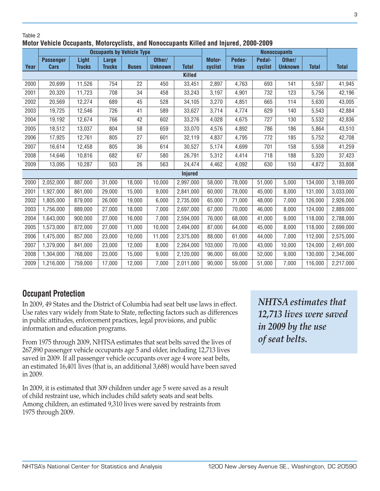### Table 2 **Motor Vehicle Occupants, Motorcyclists, and Nonoccupants Killed and Injured, 2000-2009**

|      | <b>Occupants by Vehicle Type</b> |               |               |              |                |                |         | <b>Nonoccupants</b> |         |                |              |              |
|------|----------------------------------|---------------|---------------|--------------|----------------|----------------|---------|---------------------|---------|----------------|--------------|--------------|
|      | <b>Passenger</b>                 | Light         | Large         |              | Other/         |                | Motor-  | Pedes-              | Pedal-  | Other/         |              |              |
| Year | Cars                             | <b>Trucks</b> | <b>Trucks</b> | <b>Buses</b> | <b>Unknown</b> | <b>Total</b>   | cyclist | trian               | cyclist | <b>Unknown</b> | <b>Total</b> | <b>Total</b> |
|      |                                  |               |               |              |                | <b>Killed</b>  |         |                     |         |                |              |              |
| 2000 | 20,699                           | 11,526        | 754           | 22           | 450            | 33,451         | 2,897   | 4,763               | 693     | 141            | 5,597        | 41,945       |
| 2001 | 20,320                           | 11,723        | 708           | 34           | 458            | 33,243         | 3,197   | 4,901               | 732     | 123            | 5,756        | 42,196       |
| 2002 | 20,569                           | 12,274        | 689           | 45           | 528            | 34,105         | 3,270   | 4,851               | 665     | 114            | 5,630        | 43,005       |
| 2003 | 19,725                           | 12,546        | 726           | 41           | 589            | 33,627         | 3,714   | 4,774               | 629     | 140            | 5,543        | 42,884       |
| 2004 | 19,192                           | 12,674        | 766           | 42           | 602            | 33,276         | 4,028   | 4,675               | 727     | 130            | 5,532        | 42,836       |
| 2005 | 18,512                           | 13,037        | 804           | 58           | 659            | 33,070         | 4,576   | 4,892               | 786     | 186            | 5,864        | 43,510       |
| 2006 | 17,925                           | 12,761        | 805           | 27           | 601            | 32,119         | 4,837   | 4,795               | 772     | 185            | 5,752        | 42,708       |
| 2007 | 16,614                           | 12,458        | 805           | 36           | 614            | 30,527         | 5,174   | 4,699               | 701     | 158            | 5,558        | 41,259       |
| 2008 | 14,646                           | 10,816        | 682           | 67           | 580            | 26,791         | 5,312   | 4,414               | 718     | 188            | 5,320        | 37,423       |
| 2009 | 13,095                           | 10,287        | 503           | 26           | 563            | 24,474         | 4,462   | 4,092               | 630     | 150            | 4,872        | 33,808       |
|      |                                  |               |               |              |                | <b>Injured</b> |         |                     |         |                |              |              |
| 2000 | 2,052,000                        | 887,000       | 31,000        | 18,000       | 10,000         | 2,997,000      | 58,000  | 78,000              | 51,000  | 5,000          | 134,000      | 3,189,000    |
| 2001 | 1,927,000                        | 861,000       | 29,000        | 15,000       | 9,000          | 2,841,000      | 60,000  | 78,000              | 45,000  | 8,000          | 131,000      | 3,033,000    |
| 2002 | 1,805,000                        | 879,000       | 26,000        | 19,000       | 6,000          | 2,735,000      | 65,000  | 71,000              | 48,000  | 7,000          | 126,000      | 2,926,000    |
| 2003 | 1,756,000                        | 889,000       | 27,000        | 18,000       | 7,000          | 2,697,000      | 67,000  | 70,000              | 46,000  | 8,000          | 124,000      | 2,889,000    |
| 2004 | 1,643,000                        | 900,000       | 27,000        | 16,000       | 7,000          | 2,594,000      | 76,000  | 68,000              | 41,000  | 9,000          | 118,000      | 2,788,000    |
| 2005 | 1,573,000                        | 872,000       | 27,000        | 11,000       | 10,000         | 2,494,000      | 87,000  | 64,000              | 45,000  | 8,000          | 118,000      | 2,699,000    |
| 2006 | 1,475,000                        | 857,000       | 23,000        | 10,000       | 11,000         | 2,375,000      | 88,000  | 61,000              | 44,000  | 7,000          | 112,000      | 2,575,000    |
| 2007 | 1,379,000                        | 841,000       | 23,000        | 12,000       | 8,000          | 2,264,000      | 103,000 | 70,000              | 43,000  | 10,000         | 124,000      | 2,491,000    |
| 2008 | 1,304,000                        | 768,000       | 23,000        | 15,000       | 9,000          | 2,120,000      | 96,000  | 69,000              | 52,000  | 9,000          | 130,000      | 2,346,000    |
| 2009 | 1,216,000                        | 759,000       | 17,000        | 12,000       | 7,000          | 2,011,000      | 90,000  | 59,000              | 51,000  | 7,000          | 116,000      | 2,217,000    |

# **Occupant Protection**

In 2009, 49 States and the District of Columbia had seat belt use laws in effect. Use rates vary widely from State to State, reflecting factors such as differences in public attitudes, enforcement practices, legal provisions, and public information and education programs.

From 1975 through 2009, NHTSA estimates that seat belts saved the lives of 267,890 passenger vehicle occupants age 5 and older, including 12,713 lives saved in 2009. If all passenger vehicle occupants over age 4 wore seat belts, an estimated 16,401 lives (that is, an additional 3,688) would have been saved in 2009.

In 2009, it is estimated that 309 children under age 5 were saved as a result of child restraint use, which includes child safety seats and seat belts. Among children, an estimated 9,310 lives were saved by restraints from 1975 through 2009.

*NHTSA estimates that 12,713 lives were saved in 2009 by the use of seat belts.*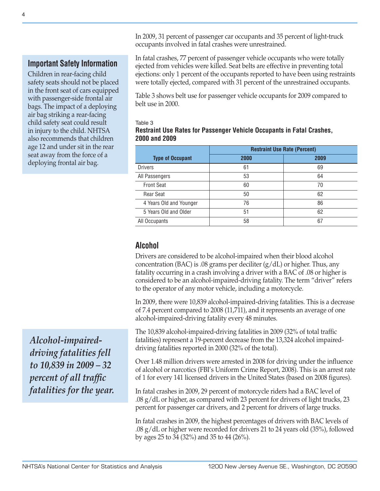In 2009, 31 percent of passenger car occupants and 35 percent of light-truck occupants involved in fatal crashes were unrestrained.

# **Important Safety Information**

Children in rear-facing child safety seats should not be placed in the front seat of cars equipped with passenger-side frontal air bags. The impact of a deploying air bag striking a rear-facing child safety seat could result in injury to the child. NHTSA also recommends that children age 12 and under sit in the rear seat away from the force of a deploying frontal air bag.

*Alcohol-impaireddriving fatalities fell to 10,839 in 2009 – 32 percent of all traffic fatalities for the year.* In fatal crashes, 77 percent of passenger vehicle occupants who were totally ejected from vehicles were killed. Seat belts are effective in preventing total ejections: only 1 percent of the occupants reported to have been using restraints were totally ejected, compared with 31 percent of the unrestrained occupants.

Table 3 shows belt use for passenger vehicle occupants for 2009 compared to belt use in 2000.

### Table 3 **Restraint Use Rates for Passenger Vehicle Occupants in Fatal Crashes, 2000 and 2009**

|                         | <b>Restraint Use Rate (Percent)</b> |      |  |  |  |
|-------------------------|-------------------------------------|------|--|--|--|
| <b>Type of Occupant</b> | 2000                                | 2009 |  |  |  |
| <b>Drivers</b>          | 61                                  | 69   |  |  |  |
| All Passengers          | 53                                  | 64   |  |  |  |
| <b>Front Seat</b>       | 60                                  | 70   |  |  |  |
| Rear Seat               | 50                                  | 62   |  |  |  |
| 4 Years Old and Younger | 76                                  | 86   |  |  |  |
| 5 Years Old and Older   | 51                                  | 62   |  |  |  |
| All Occupants           | 58                                  | 67   |  |  |  |

## **Alcohol**

Drivers are considered to be alcohol-impaired when their blood alcohol concentration (BAC) is .08 grams per deciliter  $(g/dL)$  or higher. Thus, any fatality occurring in a crash involving a driver with a BAC of .08 or higher is considered to be an alcohol-impaired-driving fatality. The term "driver" refers to the operator of any motor vehicle, including a motorcycle.

In 2009, there were 10,839 alcohol-impaired-driving fatalities. This is a decrease of 7.4 percent compared to 2008 (11,711), and it represents an average of one alcohol-impaired-driving fatality every 48 minutes.

The 10,839 alcohol-impaired-driving fatalities in 2009 (32% of total traffic fatalities) represent a 19-percent decrease from the 13,324 alcohol impaireddriving fatalities reported in 2000 (32% of the total).

Over 1.48 million drivers were arrested in 2008 for driving under the influence of alcohol or narcotics (FBI's Uniform Crime Report, 2008). This is an arrest rate of 1 for every 141 licensed drivers in the United States (based on 2008 figures).

In fatal crashes in 2009, 29 percent of motorcycle riders had a BAC level of .08 g/dL or higher, as compared with 23 percent for drivers of light trucks, 23 percent for passenger car drivers, and 2 percent for drivers of large trucks.

In fatal crashes in 2009, the highest percentages of drivers with BAC levels of .08 g/dL or higher were recorded for drivers 21 to 24 years old (35%), followed by ages 25 to 34 (32%) and 35 to 44 (26%).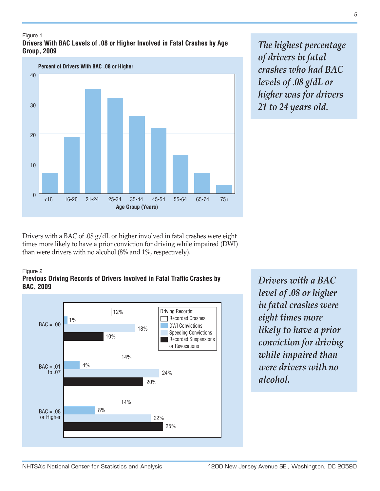### Figure 1 **Drivers With BAC Levels of .08 or Higher Involved in Fatal Crashes by Age Group, 2009**



*The highest percentage of drivers in fatal crashes who had BAC levels of .08 g/dL or higher was for drivers 21 to 24 years old.*

Drivers with a BAC of .08 g/dL or higher involved in fatal crashes were eight times more likely to have a prior conviction for driving while impaired (DWI) than were drivers with no alcohol (8% and 1%, respectively).

### Figure 2

### **Previous Driving Records of Drivers Involved in Fatal Traffic Crashes by BAC, 2009**



*Drivers with a BAC level of .08 or higher in fatal crashes were eight times more likely to have a prior conviction for driving while impaired than were drivers with no alcohol.*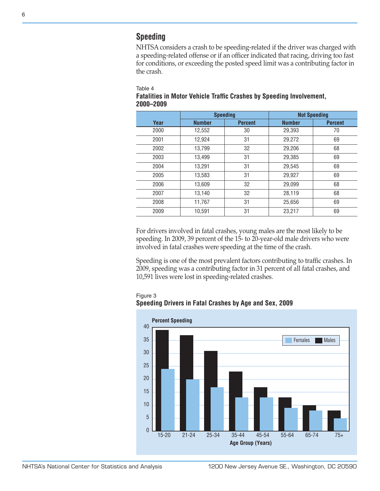# **Speeding**

NHTSA considers a crash to be speeding-related if the driver was charged with a speeding-related offense or if an officer indicated that racing, driving too fast for conditions, or exceeding the posted speed limit was a contributing factor in the crash.

#### Table 4

|           | <b>Fatalities in Motor Vehicle Traffic Crashes by Speeding Involvement,</b> |
|-----------|-----------------------------------------------------------------------------|
| 2000-2009 |                                                                             |

|      | <b>Speeding</b> |                | <b>Not Speeding</b> |                |  |  |  |
|------|-----------------|----------------|---------------------|----------------|--|--|--|
| Year | <b>Number</b>   | <b>Percent</b> | <b>Number</b>       | <b>Percent</b> |  |  |  |
| 2000 | 12,552          | 30             | 29,393              | 70             |  |  |  |
| 2001 | 12.924          | 31             | 29,272              | 69             |  |  |  |
| 2002 | 13,799          | 32             | 29,206              | 68             |  |  |  |
| 2003 | 13,499          | 31             | 29,385              | 69             |  |  |  |
| 2004 | 13,291          | 31             | 29,545              | 69             |  |  |  |
| 2005 | 13,583          | 31             | 29,927              | 69             |  |  |  |
| 2006 | 13,609          | 32             | 29,099              | 68             |  |  |  |
| 2007 | 13,140          | 32             | 28,119              | 68             |  |  |  |
| 2008 | 11,767          | 31             | 25,656              | 69             |  |  |  |
| 2009 | 10,591          | 31             | 23,217              | 69             |  |  |  |

For drivers involved in fatal crashes, young males are the most likely to be speeding. In 2009, 39 percent of the 15- to 20-year-old male drivers who were involved in fatal crashes were speeding at the time of the crash.

Speeding is one of the most prevalent factors contributing to traffic crashes. In 2009, speeding was a contributing factor in 31 percent of all fatal crashes, and 10,591 lives were lost in speeding-related crashes.

Figure 3



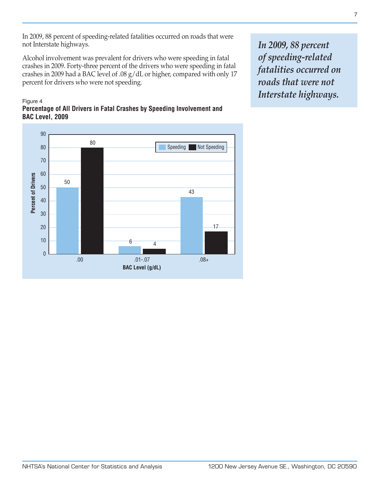In 2009, 88 percent of speeding-related fatalities occurred on roads that were not Interstate highways.

Alcohol involvement was prevalent for drivers who were speeding in fatal crashes in 2009. Forty-three percent of the drivers who were speeding in fatal crashes in 2009 had a BAC level of .08 g/dL or higher, compared with only 17 percent for drivers who were not speeding.

### Figure 4 **Percentage of All Drivers in Fatal Crashes by Speeding Involvement and BAC Level, 2009**

90 80 Speeding Not Speeding 80 70 60 **Percent of Drivers Percent of Drivers** 50 50 43 40 30 17 20 10  $6 \overline{4}$ 0 .00 .08+ .01-.07 **BAC Level (g/dL)**

*In 2009, 88 percent of speeding-related fatalities occurred on roads that were not Interstate highways.*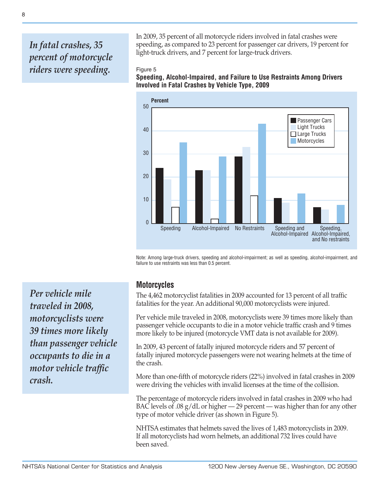# *In fatal crashes, 35 percent of motorcycle riders were speeding.*

In 2009, 35 percent of all motorcycle riders involved in fatal crashes were speeding, as compared to 23 percent for passenger car drivers, 19 percent for light-truck drivers, and 7 percent for large-truck drivers.

### Figure 5

**Speeding, Alcohol-Impaired, and Failure to Use Restraints Among Drivers Involved in Fatal Crashes by Vehicle Type, 2009**



Note: Among large-truck drivers, speeding and alcohol-impairment; as well as speeding, alcohol-impairment, and failure to use restraints was less than 0.5 percent.

*Per vehicle mile traveled in 2008, motorcyclists were 39 times more likely than passenger vehicle occupants to die in a motor vehicle traffic crash.*

# **Motorcycles**

The 4,462 motorcyclist fatalities in 2009 accounted for 13 percent of all traffic fatalities for the year. An additional 90,000 motorcyclists were injured.

Per vehicle mile traveled in 2008, motorcyclists were 39 times more likely than passenger vehicle occupants to die in a motor vehicle traffic crash and 9 times more likely to be injured (motorcycle VMT data is not available for 2009).

In 2009, 43 percent of fatally injured motorcycle riders and 57 percent of fatally injured motorcycle passengers were not wearing helmets at the time of the crash.

More than one-fifth of motorcycle riders (22%) involved in fatal crashes in 2009 were driving the vehicles with invalid licenses at the time of the collision.

The percentage of motorcycle riders involved in fatal crashes in 2009 who had BAC levels of .08  $g/dL$  or higher  $-29$  percent — was higher than for any other type of motor vehicle driver (as shown in Figure 5).

NHTSA estimates that helmets saved the lives of 1,483 motorcyclists in 2009. If all motorcyclists had worn helmets, an additional 732 lives could have been saved.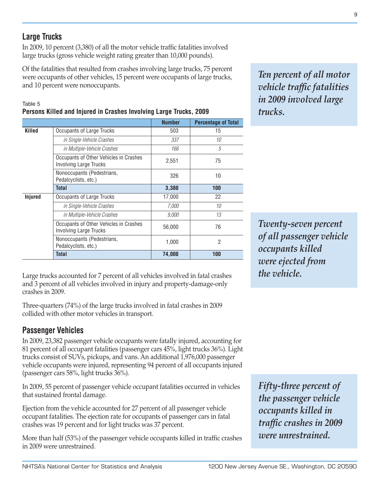9

*Ten percent of all motor vehicle traffic fatalities in 2009 involved large trucks.*

*Twenty-seven percent of all passenger vehicle occupants killed were ejected from the vehicle.*

*Fifty-three percent of the passenger vehicle occupants killed in traffic crashes in 2009 were unrestrained.*

# **Large Trucks**

In 2009, 10 percent (3,380) of all the motor vehicle traffic fatalities involved large trucks (gross vehicle weight rating greater than 10,000 pounds).

Of the fatalities that resulted from crashes involving large trucks, 75 percent were occupants of other vehicles, 15 percent were occupants of large trucks, and 10 percent were nonoccupants.

### Table 5 **Persons Killed and Injured in Crashes Involving Large Trucks, 2009**

|         |                                                                         | <b>Number</b> | <b>Percentage of Total</b> |
|---------|-------------------------------------------------------------------------|---------------|----------------------------|
| Killed  | <b>Occupants of Large Trucks</b>                                        | 503           | 15                         |
|         | in Single-Vehicle Crashes                                               | 337           | 10                         |
|         | in Multiple-Vehicle Crashes                                             | 166           | 5                          |
|         | Occupants of Other Vehicles in Crashes<br><b>Involving Large Trucks</b> | 2,551         | 75                         |
|         | Nonoccupants (Pedestrians,<br>Pedalcyclists, etc.)                      | 326           | 10                         |
|         | <b>Total</b>                                                            | 3,380         | 100                        |
| Injured | Occupants of Large Trucks                                               | 17,000        | 22                         |
|         | in Single-Vehicle Crashes                                               | 7,000         | 10                         |
|         | in Multiple-Vehicle Crashes                                             | 9,000         | 13                         |
|         | Occupants of Other Vehicles in Crashes<br><b>Involving Large Trucks</b> | 56,000        | 76                         |
|         | Nonoccupants (Pedestrians,<br>Pedalcyclists, etc.)                      | 1,000         | $\overline{2}$             |
|         | <b>Total</b>                                                            | 74,000        | 100                        |
|         |                                                                         |               |                            |

Large trucks accounted for 7 percent of all vehicles involved in fatal crashes and 3 percent of all vehicles involved in injury and property-damage-only crashes in 2009.

Three-quarters (74%) of the large trucks involved in fatal crashes in 2009 collided with other motor vehicles in transport.

# **Passenger Vehicles**

In 2009, 23,382 passenger vehicle occupants were fatally injured, accounting for 81 percent of all occupant fatalities (passenger cars 45%, light trucks 36%). Light trucks consist of SUVs, pickups, and vans. An additional 1,976,000 passenger vehicle occupants were injured, representing 94 percent of all occupants injured (passenger cars 58%, light trucks 36%).

In 2009, 55 percent of passenger vehicle occupant fatalities occurred in vehicles that sustained frontal damage.

Ejection from the vehicle accounted for 27 percent of all passenger vehicle occupant fatalities. The ejection rate for occupants of passenger cars in fatal crashes was 19 percent and for light trucks was 37 percent.

More than half (53%) of the passenger vehicle occupants killed in traffic crashes in 2009 were unrestrained.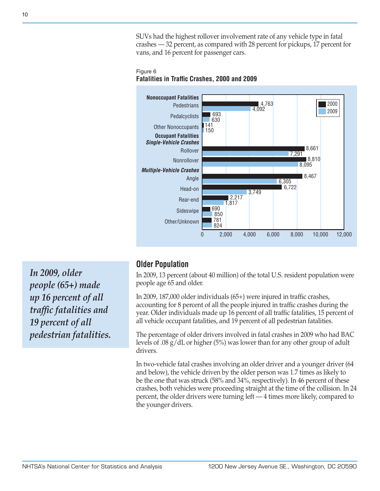SUVs had the highest rollover involvement rate of any vehicle type in fatal crashes — 32 percent, as compared with 28 percent for pickups, 17 percent for vans, and 16 percent for passenger cars.

Figure 6 **Fatalities in Traffic Crashes, 2000 and 2009**



*In 2009, older people (65+) made up 16 percent of all traffic fatalities and 19 percent of all pedestrian fatalities.*

# **Older Population**

In 2009, 13 percent (about 40 million) of the total U.S. resident population were people age 65 and older.

In 2009, 187,000 older individuals (65+) were injured in traffic crashes, accounting for 8 percent of all the people injured in traffic crashes during the year. Older individuals made up 16 percent of all traffic fatalities, 15 percent of all vehicle occupant fatalities, and 19 percent of all pedestrian fatalities.

The percentage of older drivers involved in fatal crashes in 2009 who had BAC levels of .08 g/dL or higher (5%) was lower than for any other group of adult drivers.

In two-vehicle fatal crashes involving an older driver and a younger driver (64 and below), the vehicle driven by the older person was 1.7 times as likely to be the one that was struck (58% and 34%, respectively). In 46 percent of these crashes, both vehicles were proceeding straight at the time of the collision. In 24 percent, the older drivers were turning left — 4 times more likely, compared to the younger drivers.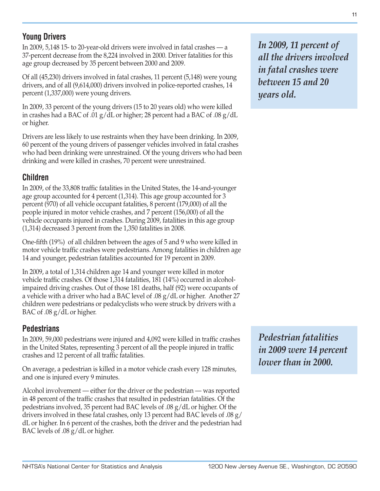# **Young Drivers**

In 2009, 5,148 15- to 20-year-old drivers were involved in fatal crashes — a 37-percent decrease from the 8,224 involved in 2000. Driver fatalities for this age group decreased by 35 percent between 2000 and 2009.

Of all (45,230) drivers involved in fatal crashes, 11 percent (5,148) were young drivers, and of all (9,614,000) drivers involved in police-reported crashes, 14 percent (1,337,000) were young drivers.

In 2009, 33 percent of the young drivers (15 to 20 years old) who were killed in crashes had a BAC of .01 g/dL or higher; 28 percent had a BAC of .08 g/dL or higher.

Drivers are less likely to use restraints when they have been drinking. In 2009, 60 percent of the young drivers of passenger vehicles involved in fatal crashes who had been drinking were unrestrained. Of the young drivers who had been drinking and were killed in crashes, 70 percent were unrestrained.

# **Children**

In 2009, of the 33,808 traffic fatalities in the United States, the 14-and-younger age group accounted for 4 percent (1,314). This age group accounted for 3 percent (970) of all vehicle occupant fatalities, 8 percent (179,000) of all the people injured in motor vehicle crashes, and 7 percent (156,000) of all the vehicle occupants injured in crashes. During 2009, fatalities in this age group (1,314) decreased 3 percent from the 1,350 fatalities in 2008.

One-fifth (19%) of all children between the ages of 5 and 9 who were killed in motor vehicle traffic crashes were pedestrians. Among fatalities in children age 14 and younger, pedestrian fatalities accounted for 19 percent in 2009.

In 2009, a total of 1,314 children age 14 and younger were killed in motor vehicle traffic crashes. Of those 1,314 fatalities, 181 (14%) occurred in alcoholimpaired driving crashes. Out of those 181 deaths, half (92) were occupants of a vehicle with a driver who had a BAC level of .08 g/dL or higher. Another 27 children were pedestrians or pedalcyclists who were struck by drivers with a BAC of .08 g/dL or higher.

# **Pedestrians**

In 2009, 59,000 pedestrians were injured and 4,092 were killed in traffic crashes in the United States, representing 3 percent of all the people injured in traffic crashes and 12 percent of all traffic fatalities.

On average, a pedestrian is killed in a motor vehicle crash every 128 minutes, and one is injured every 9 minutes.

Alcohol involvement — either for the driver or the pedestrian — was reported in 48 percent of the traffic crashes that resulted in pedestrian fatalities. Of the pedestrians involved, 35 percent had BAC levels of .08 g/dL or higher. Of the drivers involved in these fatal crashes, only 13 percent had BAC levels of .08 g/ dL or higher. In 6 percent of the crashes, both the driver and the pedestrian had BAC levels of .08 g/dL or higher.

*In 2009, 11 percent of all the drivers involved in fatal crashes were between 15 and 20 years old.*

*Pedestrian fatalities in 2009 were 14 percent lower than in 2000.*